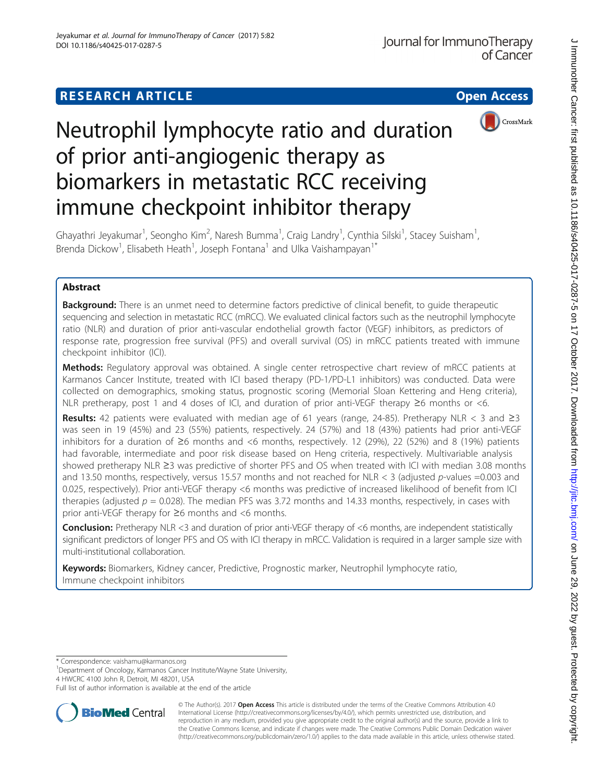# **RESEARCH ARTICLE Example 2014 12:30 The Contract of Contract ACCESS**



# Neutrophil lymphocyte ratio and duration of prior anti-angiogenic therapy as biomarkers in metastatic RCC receiving immune checkpoint inhibitor therapy

Ghayathri Jeyakumar<sup>1</sup>, Seongho Kim<sup>2</sup>, Naresh Bumma<sup>1</sup>, Craig Landry<sup>1</sup>, Cynthia Silski<sup>1</sup>, Stacey Suisham<sup>1</sup> , Brenda Dickow<sup>1</sup>, Elisabeth Heath<sup>1</sup>, Joseph Fontana<sup>1</sup> and Ulka Vaishampayan<sup>1\*</sup>

# Abstract

**Background:** There is an unmet need to determine factors predictive of clinical benefit, to quide therapeutic sequencing and selection in metastatic RCC (mRCC). We evaluated clinical factors such as the neutrophil lymphocyte ratio (NLR) and duration of prior anti-vascular endothelial growth factor (VEGF) inhibitors, as predictors of response rate, progression free survival (PFS) and overall survival (OS) in mRCC patients treated with immune checkpoint inhibitor (ICI).

Methods: Regulatory approval was obtained. A single center retrospective chart review of mRCC patients at Karmanos Cancer Institute, treated with ICI based therapy (PD-1/PD-L1 inhibitors) was conducted. Data were collected on demographics, smoking status, prognostic scoring (Memorial Sloan Kettering and Heng criteria), NLR pretherapy, post 1 and 4 doses of ICI, and duration of prior anti-VEGF therapy  $\geq 6$  months or <6.

Results: 42 patients were evaluated with median age of 61 years (range, 24-85). Pretherapy NLR < 3 and  $\geq$ 3 was seen in 19 (45%) and 23 (55%) patients, respectively. 24 (57%) and 18 (43%) patients had prior anti-VEGF inhibitors for a duration of ≥6 months and <6 months, respectively. 12 (29%), 22 (52%) and 8 (19%) patients had favorable, intermediate and poor risk disease based on Heng criteria, respectively. Multivariable analysis showed pretherapy NLR ≥3 was predictive of shorter PFS and OS when treated with ICI with median 3.08 months and 13.50 months, respectively, versus 15.57 months and not reached for NLR < 3 (adjusted p-values =0.003 and 0.025, respectively). Prior anti-VEGF therapy <6 months was predictive of increased likelihood of benefit from ICI therapies (adjusted  $p = 0.028$ ). The median PFS was 3.72 months and 14.33 months, respectively, in cases with prior anti-VEGF therapy for ≥6 months and <6 months.

Conclusion: Pretherapy NLR <3 and duration of prior anti-VEGF therapy of <6 months, are independent statistically significant predictors of longer PFS and OS with ICI therapy in mRCC. Validation is required in a larger sample size with multi-institutional collaboration.

Keywords: Biomarkers, Kidney cancer, Predictive, Prognostic marker, Neutrophil lymphocyte ratio, Immune checkpoint inhibitors

\* Correspondence: [vaishamu@karmanos.org](mailto:vaishamu@karmanos.org) <sup>1</sup>

<sup>1</sup>Department of Oncology, Karmanos Cancer Institute/Wayne State University, 4 HWCRC 4100 John R, Detroit, MI 48201, USA

Full list of author information is available at the end of the article



© The Author(s). 2017 **Open Access** This article is distributed under the terms of the Creative Commons Attribution 4.0 International License [\(http://creativecommons.org/licenses/by/4.0/](http://creativecommons.org/licenses/by/4.0/)), which permits unrestricted use, distribution, and reproduction in any medium, provided you give appropriate credit to the original author(s) and the source, provide a link to the Creative Commons license, and indicate if changes were made. The Creative Commons Public Domain Dedication waiver [\(http://creativecommons.org/publicdomain/zero/1.0/](http://creativecommons.org/publicdomain/zero/1.0/)) applies to the data made available in this article, unless otherwise stated.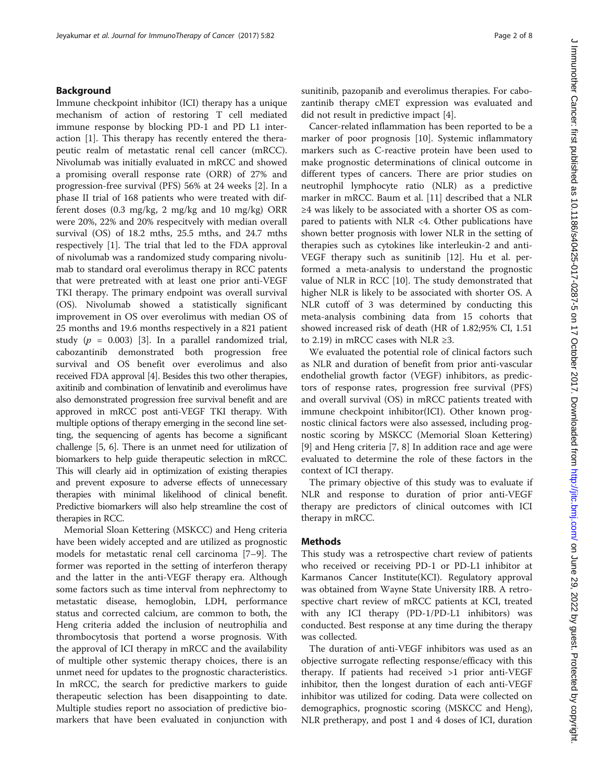## Background

Immune checkpoint inhibitor (ICI) therapy has a unique mechanism of action of restoring T cell mediated immune response by blocking PD-1 and PD L1 interaction [[1\]](#page-7-0). This therapy has recently entered the therapeutic realm of metastatic renal cell cancer (mRCC). Nivolumab was initially evaluated in mRCC and showed a promising overall response rate (ORR) of 27% and progression-free survival (PFS) 56% at 24 weeks [[2\]](#page-7-0). In a phase II trial of 168 patients who were treated with different doses (0.3 mg/kg, 2 mg/kg and 10 mg/kg) ORR were 20%, 22% and 20% respecitvely with median overall survival (OS) of 18.2 mths, 25.5 mths, and 24.7 mths respectively [[1](#page-7-0)]. The trial that led to the FDA approval of nivolumab was a randomized study comparing nivolumab to standard oral everolimus therapy in RCC patents that were pretreated with at least one prior anti-VEGF TKI therapy. The primary endpoint was overall survival (OS). Nivolumab showed a statistically significant improvement in OS over everolimus with median OS of 25 months and 19.6 months respectively in a 821 patient study ( $p = 0.003$ ) [[3\]](#page-7-0). In a parallel randomized trial, cabozantinib demonstrated both progression free survival and OS benefit over everolimus and also received FDA approval [\[4\]](#page-7-0). Besides this two other therapies, axitinib and combination of lenvatinib and everolimus have also demonstrated progression free survival benefit and are approved in mRCC post anti-VEGF TKI therapy. With multiple options of therapy emerging in the second line setting, the sequencing of agents has become a significant challenge [\[5, 6\]](#page-7-0). There is an unmet need for utilization of biomarkers to help guide therapeutic selection in mRCC. This will clearly aid in optimization of existing therapies and prevent exposure to adverse effects of unnecessary therapies with minimal likelihood of clinical benefit. Predictive biomarkers will also help streamline the cost of therapies in RCC.

Memorial Sloan Kettering (MSKCC) and Heng criteria have been widely accepted and are utilized as prognostic models for metastatic renal cell carcinoma [\[7](#page-7-0)–[9](#page-7-0)]. The former was reported in the setting of interferon therapy and the latter in the anti-VEGF therapy era. Although some factors such as time interval from nephrectomy to metastatic disease, hemoglobin, LDH, performance status and corrected calcium, are common to both, the Heng criteria added the inclusion of neutrophilia and thrombocytosis that portend a worse prognosis. With the approval of ICI therapy in mRCC and the availability of multiple other systemic therapy choices, there is an unmet need for updates to the prognostic characteristics. In mRCC, the search for predictive markers to guide therapeutic selection has been disappointing to date. Multiple studies report no association of predictive biomarkers that have been evaluated in conjunction with sunitinib, pazopanib and everolimus therapies. For cabozantinib therapy cMET expression was evaluated and did not result in predictive impact [\[4\]](#page-7-0).

Cancer-related inflammation has been reported to be a marker of poor prognosis [[10\]](#page-7-0). Systemic inflammatory markers such as C-reactive protein have been used to make prognostic determinations of clinical outcome in different types of cancers. There are prior studies on neutrophil lymphocyte ratio (NLR) as a predictive marker in mRCC. Baum et al. [[11](#page-7-0)] described that a NLR ≥4 was likely to be associated with a shorter OS as compared to patients with NLR <4. Other publications have shown better prognosis with lower NLR in the setting of therapies such as cytokines like interleukin-2 and anti-VEGF therapy such as sunitinib [[12](#page-7-0)]. Hu et al. performed a meta-analysis to understand the prognostic value of NLR in RCC [[10\]](#page-7-0). The study demonstrated that higher NLR is likely to be associated with shorter OS. A NLR cutoff of 3 was determined by conducting this meta-analysis combining data from 15 cohorts that showed increased risk of death (HR of 1.82;95% CI, 1.51 to 2.19) in mRCC cases with NLR ≥3.

We evaluated the potential role of clinical factors such as NLR and duration of benefit from prior anti-vascular endothelial growth factor (VEGF) inhibitors, as predictors of response rates, progression free survival (PFS) and overall survival (OS) in mRCC patients treated with immune checkpoint inhibitor(ICI). Other known prognostic clinical factors were also assessed, including prognostic scoring by MSKCC (Memorial Sloan Kettering) [[9\]](#page-7-0) and Heng criteria [\[7](#page-7-0), [8](#page-7-0)] In addition race and age were evaluated to determine the role of these factors in the context of ICI therapy.

The primary objective of this study was to evaluate if NLR and response to duration of prior anti-VEGF therapy are predictors of clinical outcomes with ICI therapy in mRCC.

### Methods

This study was a retrospective chart review of patients who received or receiving PD-1 or PD-L1 inhibitor at Karmanos Cancer Institute(KCI). Regulatory approval was obtained from Wayne State University IRB. A retrospective chart review of mRCC patients at KCI, treated with any ICI therapy (PD-1/PD-L1 inhibitors) was conducted. Best response at any time during the therapy was collected.

The duration of anti-VEGF inhibitors was used as an objective surrogate reflecting response/efficacy with this therapy. If patients had received >1 prior anti-VEGF inhibitor, then the longest duration of each anti-VEGF inhibitor was utilized for coding. Data were collected on demographics, prognostic scoring (MSKCC and Heng), NLR pretherapy, and post 1 and 4 doses of ICI, duration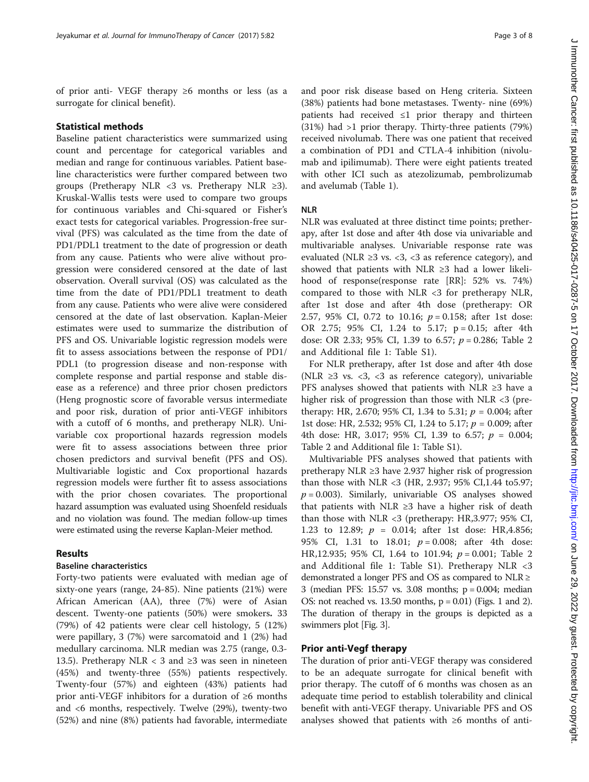of prior anti- VEGF therapy ≥6 months or less (as a surrogate for clinical benefit).

# Statistical methods

Baseline patient characteristics were summarized using count and percentage for categorical variables and median and range for continuous variables. Patient baseline characteristics were further compared between two groups (Pretherapy NLR <3 vs. Pretherapy NLR  $\geq 3$ ). Kruskal-Wallis tests were used to compare two groups for continuous variables and Chi-squared or Fisher's exact tests for categorical variables. Progression-free survival (PFS) was calculated as the time from the date of PD1/PDL1 treatment to the date of progression or death from any cause. Patients who were alive without progression were considered censored at the date of last observation. Overall survival (OS) was calculated as the time from the date of PD1/PDL1 treatment to death from any cause. Patients who were alive were considered censored at the date of last observation. Kaplan-Meier estimates were used to summarize the distribution of PFS and OS. Univariable logistic regression models were fit to assess associations between the response of PD1/ PDL1 (to progression disease and non-response with complete response and partial response and stable disease as a reference) and three prior chosen predictors (Heng prognostic score of favorable versus intermediate and poor risk, duration of prior anti-VEGF inhibitors with a cutoff of 6 months, and pretherapy NLR). Univariable cox proportional hazards regression models were fit to assess associations between three prior chosen predictors and survival benefit (PFS and OS). Multivariable logistic and Cox proportional hazards regression models were further fit to assess associations with the prior chosen covariates. The proportional hazard assumption was evaluated using Shoenfeld residuals and no violation was found. The median follow-up times were estimated using the reverse Kaplan-Meier method.

## Results

# Baseline characteristics

Forty-two patients were evaluated with median age of sixty-one years (range, 24-85). Nine patients (21%) were African American (AA), three (7%) were of Asian descent. Twenty-one patients (50%) were smokers. 33 (79%) of 42 patients were clear cell histology, 5 (12%) were papillary, 3 (7%) were sarcomatoid and 1 (2%) had medullary carcinoma. NLR median was 2.75 (range, 0.3- 13.5). Pretherapy NLR < 3 and  $\geq$ 3 was seen in nineteen (45%) and twenty-three (55%) patients respectively. Twenty-four (57%) and eighteen (43%) patients had prior anti-VEGF inhibitors for a duration of ≥6 months and <6 months, respectively. Twelve (29%), twenty-two (52%) and nine (8%) patients had favorable, intermediate and poor risk disease based on Heng criteria. Sixteen (38%) patients had bone metastases. Twenty- nine (69%) patients had received ≤1 prior therapy and thirteen (31%) had >1 prior therapy. Thirty-three patients (79%) received nivolumab. There was one patient that received a combination of PD1 and CTLA-4 inhibition (nivolumab and ipilimumab). There were eight patients treated with other ICI such as atezolizumab, pembrolizumab and avelumab (Table [1\)](#page-3-0).

#### NLR

NLR was evaluated at three distinct time points; pretherapy, after 1st dose and after 4th dose via univariable and multivariable analyses. Univariable response rate was evaluated (NLR  $\geq$ 3 vs. <3, <3 as reference category), and showed that patients with NLR ≥3 had a lower likelihood of response(response rate [RR]: 52% vs. 74%) compared to those with NLR <3 for pretherapy NLR, after 1st dose and after 4th dose (pretherapy: OR 2.57, 95% CI, 0.72 to 10.16;  $p = 0.158$ ; after 1st dose: OR 2.75; 95% CI, 1.24 to 5.17; p = 0.15; after 4th dose: OR [2](#page-4-0).33; 95% CI, 1.39 to 6.57;  $p = 0.286$ ; Table 2 and Additional file [1:](#page-6-0) Table S1).

For NLR pretherapy, after 1st dose and after 4th dose (NLR  $\geq$ 3 vs. <3, <3 as reference category), univariable PFS analyses showed that patients with NLR ≥3 have a higher risk of progression than those with NLR <3 (pretherapy: HR, 2.670; 95% CI, 1.34 to 5.31;  $p = 0.004$ ; after 1st dose: HR, 2.532; 95% CI, 1.24 to 5.17;  $p = 0.009$ ; after 4th dose: HR, 3.017; 95% CI, 1.39 to 6.57;  $p = 0.004$ ; Table [2](#page-4-0) and Additional file [1:](#page-6-0) Table S1).

Multivariable PFS analyses showed that patients with pretherapy NLR ≥3 have 2.937 higher risk of progression than those with NLR <3 (HR, 2.937; 95% CI,1.44 to5.97;  $p = 0.003$ ). Similarly, univariable OS analyses showed that patients with NLR ≥3 have a higher risk of death than those with NLR  $<$ 3 (pretherapy: HR,3.977; 95% CI, 1.23 to 12.89;  $p = 0.014$ ; after 1st dose: HR,4.856; 95% CI, 1.31 to 18.01;  $p = 0.008$ ; after 4th dose: HR,12.935; 95% CI, 1.64 to 101.94;  $p = 0.001$ ; Table [2](#page-4-0) and Additional file [1](#page-6-0): Table S1). Pretherapy NLR <3 demonstrated a longer PFS and OS as compared to  $NLR \geq$ 3 (median PFS: 15.57 vs. 3.08 months; p = 0.004; median OS: not reached vs. [1](#page-4-0)3.50 months,  $p = 0.01$ ) (Figs. 1 and [2](#page-5-0)). The duration of therapy in the groups is depicted as a swimmers plot [Fig. [3](#page-5-0)].

#### Prior anti-Vegf therapy

The duration of prior anti-VEGF therapy was considered to be an adequate surrogate for clinical benefit with prior therapy. The cutoff of 6 months was chosen as an adequate time period to establish tolerability and clinical benefit with anti-VEGF therapy. Univariable PFS and OS analyses showed that patients with ≥6 months of anti-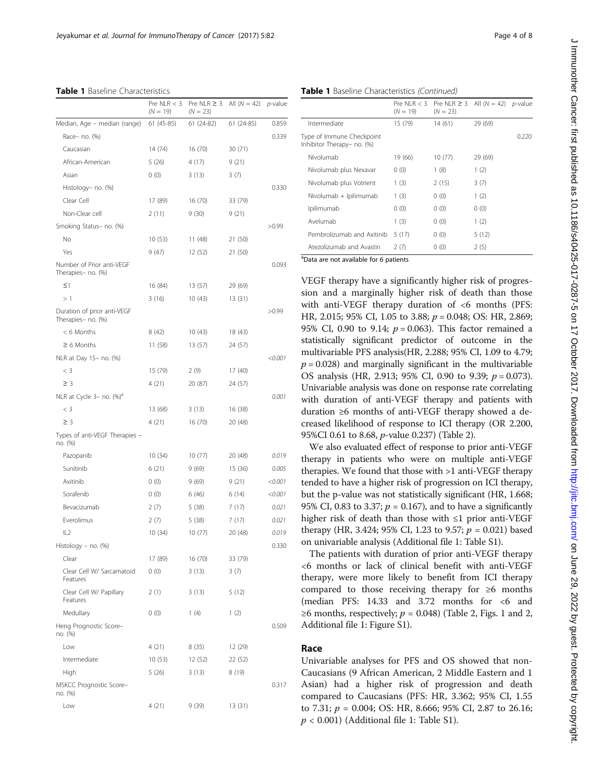<span id="page-3-0"></span>Table 1 Baseline Characteristics

|                                                   | Pre NLR $<$ 3<br>$(N = 19)$ | Pre NLR $\geq$ 3<br>$(N = 23)$ | All $(N = 42)$ | p-value |
|---------------------------------------------------|-----------------------------|--------------------------------|----------------|---------|
| Median, Age – median (range)                      | 61 (45-85)                  | $61(24-82)$                    | $61(24-85)$    | 0.859   |
| Race- no. (%)                                     |                             |                                |                | 0.339   |
| Caucasian                                         | 14 (74)                     | 16(70)                         | 30(71)         |         |
| African-American                                  | 5(26)                       | 4(17)                          | 9(21)          |         |
| Asian                                             | 0(0)                        | 3(13)                          | 3(7)           |         |
| Histology- no. (%)                                |                             |                                |                | 0.330   |
| Clear Cell                                        | 17 (89)                     | 16 (70)                        | 33 (79)        |         |
| Non-Clear cell                                    | 2(11)                       | 9(30)                          | 9(21)          |         |
| Smoking Status- no. (%)                           |                             |                                |                | >0.99   |
| No                                                | 10 (53)                     | 11 (48)                        | 21 (50)        |         |
| Yes                                               | 9(47)                       | 12 (52)                        | 21 (50)        |         |
| Number of Prior anti-VEGF<br>Therapies- no. (%)   |                             |                                |                | 0.093   |
| $\leq$ 1                                          | 16 (84)                     | 13 (57)                        | 29 (69)        |         |
| >1                                                | 3(16)                       | 10(43)                         | 13 (31)        |         |
| Duration of prior anti-VEGF<br>Therapies- no. (%) |                             |                                |                | >0.99   |
| < 6 Months                                        | 8(42)                       | 10(43)                         | 18 (43)        |         |
| $\geq 6$ Months                                   | 11 (58)                     | 13 (57)                        | 24 (57)        |         |
| NLR at Day 15- no. (%)                            |                             |                                |                | < 0.001 |
| $<$ 3                                             | 15 (79)                     | 2(9)                           | 17 (40)        |         |
| $\geq$ 3                                          | 4(21)                       | 20 (87)                        | 24 (57)        |         |
| NLR at Cycle 3- no. (%) <sup>d</sup>              |                             |                                |                | 0.001   |
| $<$ 3                                             | 13 (68)                     | 3(13)                          | 16 (38)        |         |
| $\geq$ 3                                          | 4(21)                       | 16(70)                         | 20 (48)        |         |
| Types of anti-VEGF Therapies -<br>no. (%)         |                             |                                |                |         |
| Pazopanib                                         | 10 (34)                     | 10(77)                         | 20 (48)        | 0.019   |
| Sunitinib                                         | 6(21)                       | 9(69)                          | 15 (36)        | 0.005   |
| Axitinib                                          | 0(0)                        | 9(69)                          | 9(21)          | < 0.001 |
| Sorafenib                                         | 0(0)                        | 6(46)                          | 6(14)          | < 0.001 |
| Bevacizumab                                       | 2(7)                        | 5 (38)                         | 7 (17)         | 0.021   |
| Everolimus                                        | 2(7)                        | 5(38)                          | 7 (17)         | 0.021   |
| IL2                                               | 10 (34)                     | 10(77)                         | 20 (48)        | 0.019   |
| Histology - no. (%)                               |                             |                                |                | 0.330   |
| Clear                                             | 17 (89)                     | 16(70)                         | 33 (79)        |         |
| Clear Cell W/ Sarcamatoid<br>Features             | 0(0)                        | 3(13)                          | 3(7)           |         |
| Clear Cell W/ Papillary<br>Features               | 2(1)                        | 3(13)                          | 5(12)          |         |
| Medullary                                         | 0(0)                        | 1(4)                           | 1(2)           |         |
| Heng Prognostic Score-<br>no. (%)                 |                             |                                |                | 0.509   |
| Low                                               | 4 (21)                      | 8 (35)                         | 12 (29)        |         |
| Intermediate                                      | 10(53)                      | 12(52)                         | 22 (52)        |         |
| High                                              | 5(26)                       | 3 (13)                         | 8(19)          |         |
| <b>MSKCC Prognostic Score-</b><br>no. (%)         |                             |                                |                | 0.317   |
| Low                                               | 4 (21)                      | 9 (39)                         | 13 (31)        |         |

Table 1 Baseline Characteristics (Continued)

|                                                         | $(N = 19)$ | Pre NLR < 3 Pre NLR $\ge$ 3 All (N = 42) p-value<br>$(N = 23)$ |         |       |
|---------------------------------------------------------|------------|----------------------------------------------------------------|---------|-------|
| Intermediate                                            | 15 (79)    | 14(61)                                                         | 29 (69) |       |
| Type of Immune Checkpoint<br>Inhibitor Therapy- no. (%) |            |                                                                |         | 0.220 |
| Nivolumab                                               | 19 (66)    | 10(77)                                                         | 29 (69) |       |
| Nivolumab plus Nexavar                                  | 0(0)       | 1(8)                                                           | 1(2)    |       |
| Nivolumab plus Votrient                                 | 1(3)       | 2(15)                                                          | 3(7)    |       |
| Nivolumab + Ipilimumab                                  | 1(3)       | 0(0)                                                           | 1(2)    |       |
| Ipilimumab                                              | 0(0)       | 0(0)                                                           | 0(0)    |       |
| Avelumab                                                | 1(3)       | 0(0)                                                           | 1(2)    |       |
| Pembrolizumab and Axitinib                              | 5 (17)     | 0(0)                                                           | 5(12)   |       |
| Atezolizumab and Avastin                                | 2(7)       | 0(0)                                                           | 2(5)    |       |
| and are not available for 6 patients                    |            |                                                                |         |       |

Data are not available for 6 patients

VEGF therapy have a significantly higher risk of progression and a marginally higher risk of death than those with anti-VEGF therapy duration of <6 months (PFS: HR, 2.015; 95% CI, 1.05 to 3.88; p = 0.048; OS: HR, 2.869; 95% CI, 0.90 to 9.14;  $p = 0.063$ ). This factor remained a statistically significant predictor of outcome in the multivariable PFS analysis(HR, 2.288; 95% CI, 1.09 to 4.79;  $p = 0.028$ ) and marginally significant in the multivariable OS analysis (HR, 2.913; 95% CI, 0.90 to 9.39;  $p = 0.073$ ). Univariable analysis was done on response rate correlating with duration of anti-VEGF therapy and patients with duration ≥6 months of anti-VEGF therapy showed a decreased likelihood of response to ICI therapy (OR 2.200, 95%CI 0.61 to 8.68, p-value 0.237) (Table [2\)](#page-4-0).

We also evaluated effect of response to prior anti-VEGF therapy in patients who were on multiple anti-VEGF therapies. We found that those with >1 anti-VEGF therapy tended to have a higher risk of progression on ICI therapy, but the p-value was not statistically significant (HR, 1.668; 95% CI, 0.83 to 3.37;  $p = 0.167$ ), and to have a significantly higher risk of death than those with ≤1 prior anti-VEGF therapy (HR, 3.424; 95% CI, 1.23 to 9.57;  $p = 0.021$ ) based on univariable analysis (Additional file [1](#page-6-0): Table S1).

The patients with duration of prior anti-VEGF therapy <6 months or lack of clinical benefit with anti-VEGF therapy, were more likely to benefit from ICI therapy compared to those receiving therapy for ≥6 months (median PFS: 14.33 and 3.72 months for <6 and ≥6 months, respectively;  $p = 0.048$ ) (Table [2,](#page-4-0) Figs. [1](#page-4-0) and [2](#page-5-0), Additional file [1](#page-6-0): Figure S1).

## Race

Univariable analyses for PFS and OS showed that non-Caucasians (9 African American, 2 Middle Eastern and 1 Asian) had a higher risk of progression and death compared to Caucasians (PFS: HR, 3.362; 95% CI, 1.55 to 7.31;  $p = 0.004$ ; OS: HR, 8.666; 95% CI, 2.87 to 26.16;  $p < 0.001$ ) (Additional file [1](#page-6-0): Table S1).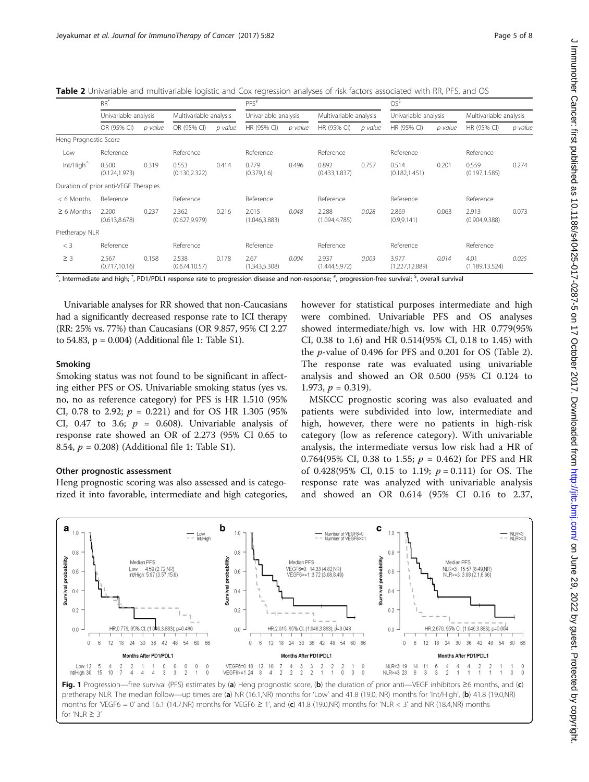<span id="page-4-0"></span>Table 2 Univariable and multivariable logistic and Cox regression analyses of risk factors associated with RR, PFS, and OS

|                       | $RR^*$                                |         |                         | $PFS$ # |                         |         | OS <sup>5</sup>         |         |                          |         |                         |         |
|-----------------------|---------------------------------------|---------|-------------------------|---------|-------------------------|---------|-------------------------|---------|--------------------------|---------|-------------------------|---------|
|                       | Univariable analysis                  |         | Multivariable analysis  |         | Univariable analysis    |         | Multivariable analysis  |         | Univariable analysis     |         | Multivariable analysis  |         |
|                       | OR (95% CI)                           | p-value | OR (95% CI)             | p-value | HR (95% CI)             | p-value | HR (95% CI)             | p-value | HR (95% CI)              | p-value | HR (95% CI)             | p-value |
| Heng Prognostic Score |                                       |         |                         |         |                         |         |                         |         |                          |         |                         |         |
| Low                   | Reference                             |         | Reference               |         | Reference               |         | Reference               |         | Reference                |         | Reference               |         |
| Int/High <sup>^</sup> | 0.500<br>(0.124, 1.973)               | 0.319   | 0.553<br>(0.130, 2.322) | 0.414   | 0.779<br>(0.379, 1.6)   | 0.496   | 0.892<br>(0.433, 1.837) | 0.757   | 0.514<br>(0.182, 1.451)  | 0.201   | 0.559<br>(0.197, 1.585) | 0.274   |
|                       | Duration of prior anti-VEGF Therapies |         |                         |         |                         |         |                         |         |                          |         |                         |         |
| $< 6$ Months          | Reference                             |         | Reference               |         | Reference               |         | Reference               |         | Reference                |         | Reference               |         |
| $\geq 6$ Months       | 2.200<br>(0.613, 8.678)               | 0.237   | 2.362<br>(0.627, 9.979) | 0.216   | 2.015<br>(1.046, 3.883) | 0.048   | 2.288<br>(1.094, 4.785) | 0.028   | 2.869<br>(0.9, 9.141)    | 0.063   | 2.913<br>(0.904, 9.388) | 0.073   |
| Pretherapy NLR        |                                       |         |                         |         |                         |         |                         |         |                          |         |                         |         |
| $<$ 3                 | Reference                             |         | Reference               |         | Reference               |         | Reference               |         | Reference                |         | Reference               |         |
| $\geq$ 3              | 2.567<br>(0.717, 10.16)               | 0.158   | 2.538<br>(0.674, 10.57) | 0.178   | 2.67<br>(1.343, 5.308)  | 0.004   | 2.937<br>(1.444, 5.972) | 0.003   | 3.977<br>(1.227, 12.889) | 0.014   | 4.01<br>(1.189, 13.524) | 0.025   |

 $^\wedge$ , Intermediate and high;  $^*$ , PD1/PDL1 response rate to progression disease and non-response;  $^*$ , progression-free survival;  $^{\mathsf{S}},$  overall survival

Univariable analyses for RR showed that non-Caucasians had a significantly decreased response rate to ICI therapy (RR: 25% vs. 77%) than Caucasians (OR 9.857, 95% CI 2.27 to 54.83, p = 0.004) (Additional file [1](#page-6-0): Table S1).

#### Smoking

Smoking status was not found to be significant in affecting either PFS or OS. Univariable smoking status (yes vs. no, no as reference category) for PFS is HR 1.510 (95% CI, 0.78 to 2.92;  $p = 0.221$  and for OS HR 1.305 (95%) CI, 0.47 to 3.6;  $p = 0.608$ ). Univariable analysis of response rate showed an OR of 2.273 (95% CI 0.65 to 8.54,  $p = 0.208$ ) (Additional file [1:](#page-6-0) Table S1).

#### Other prognostic assessment

Heng prognostic scoring was also assessed and is categorized it into favorable, intermediate and high categories, however for statistical purposes intermediate and high were combined. Univariable PFS and OS analyses showed intermediate/high vs. low with HR 0.779(95% CI, 0.38 to 1.6) and HR 0.514(95% CI, 0.18 to 1.45) with the p-value of 0.496 for PFS and 0.201 for OS (Table 2). The response rate was evaluated using univariable analysis and showed an OR 0.500 (95% CI 0.124 to 1.973,  $p = 0.319$ ).

MSKCC prognostic scoring was also evaluated and patients were subdivided into low, intermediate and high, however, there were no patients in high-risk category (low as reference category). With univariable analysis, the intermediate versus low risk had a HR of 0.764(95% CI, 0.38 to 1.55;  $p = 0.462$ ) for PFS and HR of 0.428(95% CI, 0.15 to 1.19;  $p = 0.111$ ) for OS. The response rate was analyzed with univariable analysis and showed an OR 0.614 (95% CI 0.16 to 2.37,

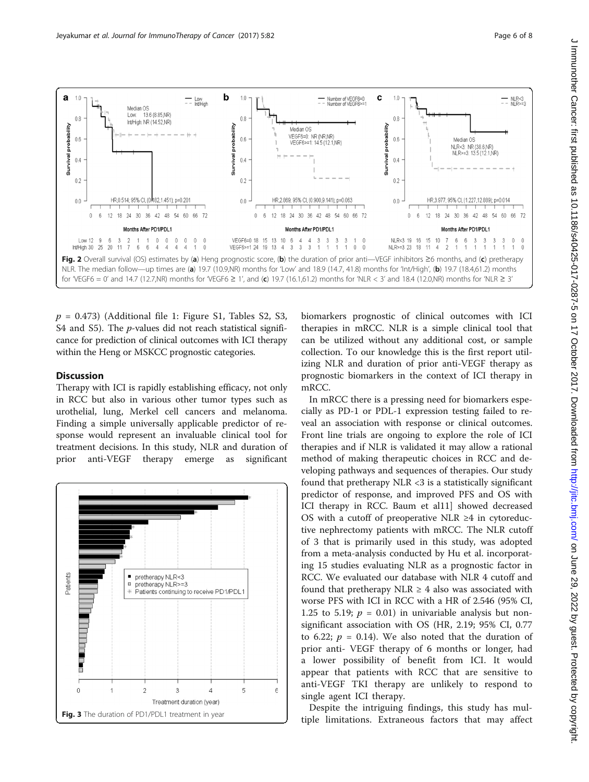<span id="page-5-0"></span>

 $p = 0.473$ ) (Additional file [1:](#page-6-0) Figure S1, Tables S2, S3, S4 and S5). The *p*-values did not reach statistical significance for prediction of clinical outcomes with ICI therapy within the Heng or MSKCC prognostic categories.

# **Discussion**

Therapy with ICI is rapidly establishing efficacy, not only in RCC but also in various other tumor types such as urothelial, lung, Merkel cell cancers and melanoma. Finding a simple universally applicable predictor of response would represent an invaluable clinical tool for treatment decisions. In this study, NLR and duration of prior anti-VEGF therapy emerge as significant



biomarkers prognostic of clinical outcomes with ICI therapies in mRCC. NLR is a simple clinical tool that can be utilized without any additional cost, or sample collection. To our knowledge this is the first report utilizing NLR and duration of prior anti-VEGF therapy as prognostic biomarkers in the context of ICI therapy in mRCC.

In mRCC there is a pressing need for biomarkers especially as PD-1 or PDL-1 expression testing failed to reveal an association with response or clinical outcomes. Front line trials are ongoing to explore the role of ICI therapies and if NLR is validated it may allow a rational method of making therapeutic choices in RCC and developing pathways and sequences of therapies. Our study found that pretherapy NLR  $<$ 3 is a statistically significant predictor of response, and improved PFS and OS with ICI therapy in RCC. Baum et al11] showed decreased OS with a cutoff of preoperative NLR  $\geq 4$  in cytoreductive nephrectomy patients with mRCC. The NLR cutoff of 3 that is primarily used in this study, was adopted from a meta-analysis conducted by Hu et al. incorporating 15 studies evaluating NLR as a prognostic factor in RCC. We evaluated our database with NLR 4 cutoff and found that pretherapy NLR  $\geq$  4 also was associated with worse PFS with ICI in RCC with a HR of 2.546 (95% CI, 1.25 to 5.19;  $p = 0.01$ ) in univariable analysis but nonsignificant association with OS (HR, 2.19; 95% CI, 0.77 to 6.22;  $p = 0.14$ ). We also noted that the duration of prior anti- VEGF therapy of 6 months or longer, had a lower possibility of benefit from ICI. It would appear that patients with RCC that are sensitive to anti-VEGF TKI therapy are unlikely to respond to single agent ICI therapy.

Despite the intriguing findings, this study has multiple limitations. Extraneous factors that may affect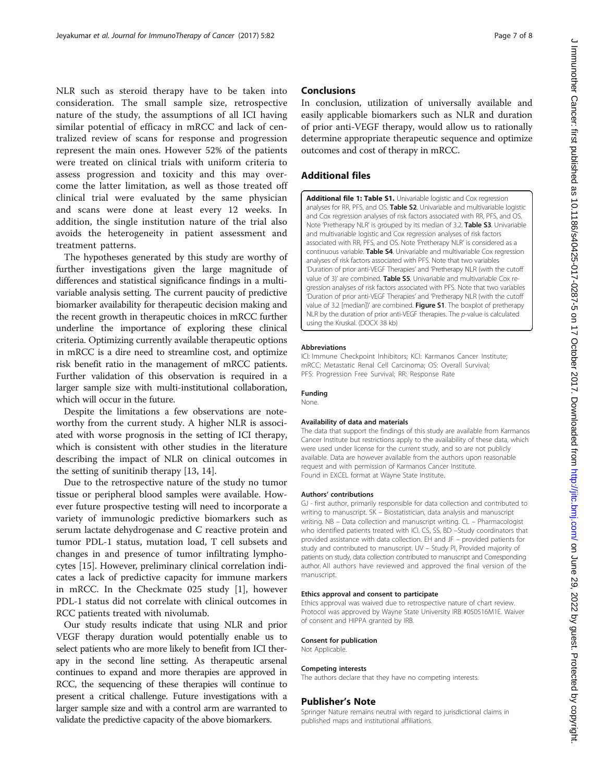<span id="page-6-0"></span>NLR such as steroid therapy have to be taken into consideration. The small sample size, retrospective nature of the study, the assumptions of all ICI having similar potential of efficacy in mRCC and lack of centralized review of scans for response and progression represent the main ones. However 52% of the patients were treated on clinical trials with uniform criteria to assess progression and toxicity and this may overcome the latter limitation, as well as those treated off clinical trial were evaluated by the same physician and scans were done at least every 12 weeks. In addition, the single institution nature of the trial also avoids the heterogeneity in patient assessment and treatment patterns.

The hypotheses generated by this study are worthy of further investigations given the large magnitude of differences and statistical significance findings in a multivariable analysis setting. The current paucity of predictive biomarker availability for therapeutic decision making and the recent growth in therapeutic choices in mRCC further underline the importance of exploring these clinical criteria. Optimizing currently available therapeutic options in mRCC is a dire need to streamline cost, and optimize risk benefit ratio in the management of mRCC patients. Further validation of this observation is required in a larger sample size with multi-institutional collaboration, which will occur in the future.

Despite the limitations a few observations are noteworthy from the current study. A higher NLR is associated with worse prognosis in the setting of ICI therapy, which is consistent with other studies in the literature describing the impact of NLR on clinical outcomes in the setting of sunitinib therapy [\[13, 14\]](#page-7-0).

Due to the retrospective nature of the study no tumor tissue or peripheral blood samples were available. However future prospective testing will need to incorporate a variety of immunologic predictive biomarkers such as serum lactate dehydrogenase and C reactive protein and tumor PDL-1 status, mutation load, T cell subsets and changes in and presence of tumor infiltrating lymphocytes [[15\]](#page-7-0). However, preliminary clinical correlation indicates a lack of predictive capacity for immune markers in mRCC. In the Checkmate 025 study [\[1](#page-7-0)], however PDL-1 status did not correlate with clinical outcomes in RCC patients treated with nivolumab.

Our study results indicate that using NLR and prior VEGF therapy duration would potentially enable us to select patients who are more likely to benefit from ICI therapy in the second line setting. As therapeutic arsenal continues to expand and more therapies are approved in RCC, the sequencing of these therapies will continue to present a critical challenge. Future investigations with a larger sample size and with a control arm are warranted to validate the predictive capacity of the above biomarkers.

# **Conclusions**

In conclusion, utilization of universally available and easily applicable biomarkers such as NLR and duration of prior anti-VEGF therapy, would allow us to rationally determine appropriate therapeutic sequence and optimize outcomes and cost of therapy in mRCC.

## Additional files

[Additional file 1: Table S1.](dx.doi.org/10.1186/s40425-017-0287-5) Univariable logistic and Cox regression analyses for RR, PFS, and OS. Table S2. Univariable and multivariable logistic and Cox regression analyses of risk factors associated with RR, PFS, and OS. Note 'Pretherapy NLR' is grouped by its median of 3.2. Table S3. Univariable and multivariable logistic and Cox regression analyses of risk factors associated with RR, PFS, and OS. Note 'Pretherapy NLR' is considered as a continuous variable. Table S4. Univariable and multivariable Cox regression analyses of risk factors associated with PFS. Note that two variables 'Duration of prior anti-VEGF Therapies' and 'Pretherapy NLR (with the cutoff value of 3)' are combined. Table S5. Univariable and multivariable Cox regression analyses of risk factors associated with PFS. Note that two variables 'Duration of prior anti-VEGF Therapies' and 'Pretherapy NLR (with the cutoff value of 3.2 [median])' are combined. Figure S1. The boxplot of pretherapy NLR by the duration of prior anti-VEGF therapies. The p-value is calculated using the Kruskal. (DOCX 38 kb)

#### Abbreviations

ICI: Immune Checkpoint Inhibitors; KCI: Karmanos Cancer Institute; mRCC: Metastatic Renal Cell Carcinoma; OS: Overall Survival; PFS: Progression Free Survival; RR: Response Rate

#### Funding

None.

#### Availability of data and materials

The data that support the findings of this study are available from Karmanos Cancer Institute but restrictions apply to the availability of these data, which were used under license for the current study, and so are not publicly available. Data are however available from the authors upon reasonable request and with permission of Karmanos Cancer Institute. Found in EXCEL format at Wayne State Institute.

#### Authors' contributions

GJ - first author, primarily responsible for data collection and contributed to writing to manuscript. SK – Biostatistician, data analysis and manuscript writing. NB – Data collection and manuscript writing. CL – Pharmacologist who identified patients treated with ICI. CS, SS, BD –Study coordinators that provided assistance with data collection. EH and JF – provided patients for study and contributed to manuscript. UV – Study PI, Provided majority of patients on study, data collection contributed to manuscript and Corresponding author. All authors have reviewed and approved the final version of the manuscript.

#### Ethics approval and consent to participate

Ethics approval was waived due to retrospective nature of chart review. Protocol was approved by Wayne State University IRB #050516M1E. Waiver of consent and HIPPA granted by IRB.

#### Consent for publication

Not Applicable.

#### Competing interests

The authors declare that they have no competing interests.

#### Publisher's Note

Springer Nature remains neutral with regard to jurisdictional claims in published maps and institutional affiliations.